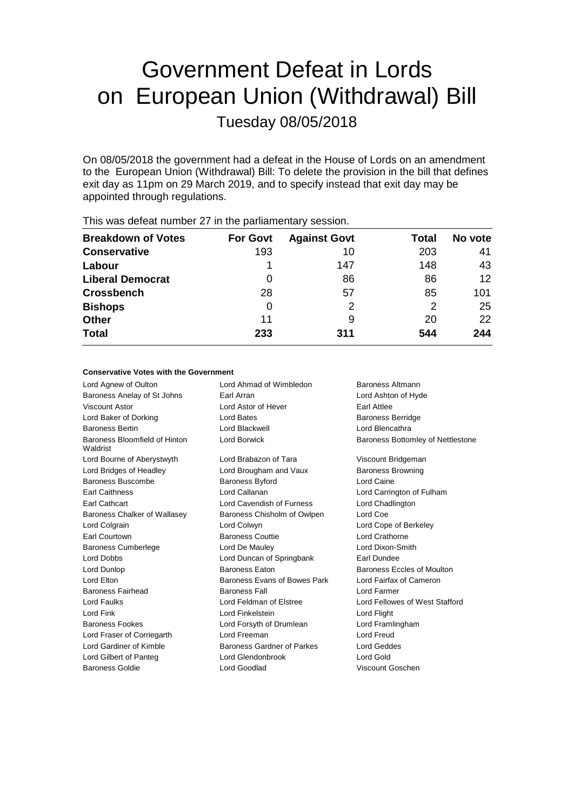# Government Defeat in Lords on European Union (Withdrawal) Bill Tuesday 08/05/2018

On 08/05/2018 the government had a defeat in the House of Lords on an amendment to the European Union (Withdrawal) Bill: To delete the provision in the bill that defines exit day as 11pm on 29 March 2019, and to specify instead that exit day may be appointed through regulations.

| <b>Breakdown of Votes</b> | <b>For Govt</b> | <b>Against Govt</b> | Total | No vote |
|---------------------------|-----------------|---------------------|-------|---------|
| <b>Conservative</b>       | 193             | 10                  | 203   | 41      |
| Labour                    |                 | 147                 | 148   | 43      |
| <b>Liberal Democrat</b>   | 0               | 86                  | 86    | 12      |
| <b>Crossbench</b>         | 28              | 57                  | 85    | 101     |
| <b>Bishops</b>            | 0               | 2                   | 2     | 25      |
| <b>Other</b>              | 11              | 9                   | 20    | 22      |
| <b>Total</b>              | 233             | 311                 | 544   | 244     |
|                           |                 |                     |       |         |

This was defeat number 27 in the parliamentary session.

# **Conservative Votes with the Government**

| Lord Agnew of Oulton                      | Lord Ahmad of Wimbledon      | Baroness Altmann                         |
|-------------------------------------------|------------------------------|------------------------------------------|
| Baroness Anelay of St Johns               | Earl Arran                   | Lord Ashton of Hyde                      |
| <b>Viscount Astor</b>                     | Lord Astor of Hever          | <b>Earl Attlee</b>                       |
| Lord Baker of Dorking                     | Lord Bates                   | <b>Baroness Berridge</b>                 |
| <b>Baroness Bertin</b>                    | Lord Blackwell               | Lord Blencathra                          |
| Baroness Bloomfield of Hinton<br>Waldrist | Lord Borwick                 | <b>Baroness Bottomley of Nettlestone</b> |
| Lord Bourne of Aberystwyth                | Lord Brabazon of Tara        | Viscount Bridgeman                       |
| Lord Bridges of Headley                   | Lord Brougham and Vaux       | <b>Baroness Browning</b>                 |
| Baroness Buscombe                         | Baroness Byford              | Lord Caine                               |
| <b>Earl Caithness</b>                     | Lord Callanan                | Lord Carrington of Fulham                |
| Earl Cathcart                             | Lord Cavendish of Furness    | Lord Chadlington                         |
| Baroness Chalker of Wallasey              | Baroness Chisholm of Owlpen  | Lord Coe                                 |
| Lord Colgrain                             | Lord Colwyn                  | Lord Cope of Berkeley                    |
| <b>Earl Courtown</b>                      | <b>Baroness Couttie</b>      | Lord Crathorne                           |
| <b>Baroness Cumberlege</b>                | Lord De Mauley               | Lord Dixon-Smith                         |
| <b>Lord Dobbs</b>                         | Lord Duncan of Springbank    | Earl Dundee                              |
| Lord Dunlop                               | <b>Baroness Faton</b>        | Baroness Eccles of Moulton               |
| Lord Elton                                | Baroness Evans of Bowes Park | Lord Fairfax of Cameron                  |
| Baroness Fairhead                         | <b>Baroness Fall</b>         | Lord Farmer                              |
| Lord Faulks                               | Lord Feldman of Elstree      | Lord Fellowes of West Stafford           |
| Lord Fink                                 | Lord Finkelstein             | Lord Flight                              |
| Baroness Fookes                           | Lord Forsyth of Drumlean     | Lord Framlingham                         |
| Lord Fraser of Corriegarth                | Lord Freeman                 | Lord Freud                               |
| Lord Gardiner of Kimble                   | Baroness Gardner of Parkes   | Lord Geddes                              |
| Lord Gilbert of Panteg                    | Lord Glendonbrook            | Lord Gold                                |
| Baroness Goldie                           | Lord Goodlad                 | Viscount Goschen                         |
|                                           |                              |                                          |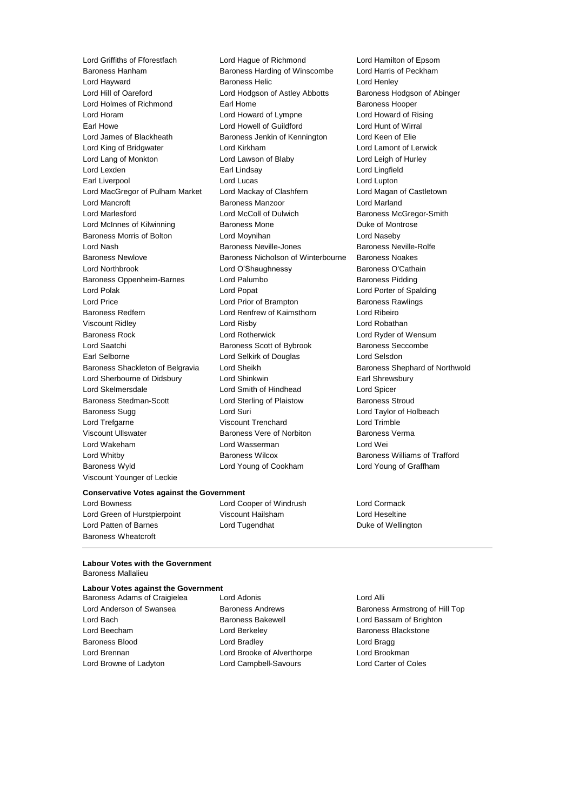Baroness Hanham Baroness Harding of Winscombe Lord Harris of Peckham Lord Hayward Baroness Helic Lord Henley Lord Hill of Oareford **Lord Hodgson of Astley Abbotts** Baroness Hodgson of Abinger Lord Holmes of Richmond Earl Home Earl Home Baroness Hooper Lord Horam **Lord Howard of Lympne** Lord Howard of Rising Earl Howe **Lord Howell of Guildford** Earl Howe Lord Hunt of Wirral<br>
Lord James of Blackheath **Baroness Jenkin of Kennington** Lord Keen of Elie Lord King of Bridgwater Lord Kirkham Lord Lamont of Lerwick Lord Lang of Monkton Lord Lawson of Blaby Lord Leigh of Hurley Lord Lexden **Earl Lindsay** Lord Lingfield **Lord Lingfield** Earl Liverpool **Lord Lucas** Lord Lucas Lord Lupton Lord MacGregor of Pulham Market Lord Mackay of Clashfern Lord Magan of Castletown Lord Mancroft **Baroness Manzoor** Lord Marland Lord Marlesford Lord McColl of Dulwich Baroness McGregor-Smith Lord McInnes of Kilwinning **Baroness Mone Communist Control** Duke of Montrose Baroness Morris of Bolton Lord Moynihan Lord Naseby Lord Nash Baroness Neville-Jones Baroness Neville-Rolfe Baroness Newlove Baroness Nicholson of Winterbourne Baroness Noakes Lord Northbrook **Lord O'Shaughnessy** Baroness O'Cathain Baroness Oppenheim-Barnes Lord Palumbo **Baroness Pidding** Lord Polak Lord Popat Lord Porter of Spalding Lord Price **Lord Prior of Brampton** Baroness Rawlings Baroness Redfern Lord Renfrew of Kaimsthorn Lord Ribeiro Viscount Ridley Lord Risby Lord Robathan Baroness Rock Lord Rotherwick Lord Ryder of Wensum Lord Saatchi **Baroness Scott of Bybrook** Baroness Seccombe Earl Selborne Lord Selkirk of Douglas Lord Selsdon Baroness Shackleton of Belgravia Lord Sheikh Baroness Shephard of Northwold Lord Sherbourne of Didsbury Lord Shinkwin **Earl Shinkwin** Earl Shrewsbury Lord Skelmersdale Lord Smith of Hindhead Lord Spicer Baroness Stedman-Scott Lord Sterling of Plaistow Baroness Stroud Baroness Sugg **Lord Suri** Lord Suri **Lord Taylor of Holbeach** Lord Trefgarne Viscount Trenchard Lord Trimble Viscount Ullswater Baroness Vere of Norbiton Baroness Verma Lord Wakeham Lord Wasserman Lord Wei Lord Whitby Baroness Wilcox Baroness Williams of Trafford Baroness Wyld Lord Young of Cookham Lord Young of Graffham Viscount Younger of Leckie

Lord Griffiths of Fforestfach Lord Hague of Richmond Lord Hamilton of Epsom Baroness Jenkin of Kennington Lord Keen of Elie

**Conservative Votes against the Government**

Lord Green of Hurstpierpoint Viscount Hailsham Lord Heseltine Lord Patten of Barnes **Lord Tugendhat** Duke of Wellington Baroness Wheatcroft

Lord Bowness Lord Cooper of Windrush Lord Cormack

# **Labour Votes with the Government** Baroness Mallalieu

**Labour Votes against the Government**

Lord Bach Baroness Bakewell Lord Bassam of Brighton Lord Beecham **Lord Berkeley** Baroness Blackstone Baroness Blood Lord Bradley Lord Bragg Lord Brennan Lord Brooke of Alverthorpe Lord Brookman Lord Browne of Ladyton Lord Campbell-Savours Lord Carter of Coles

Baroness Adams of Craigielea Lord Adonis Lord Alli

Lord Anderson of Swansea Baroness Andrews Baroness Armstrong of Hill Top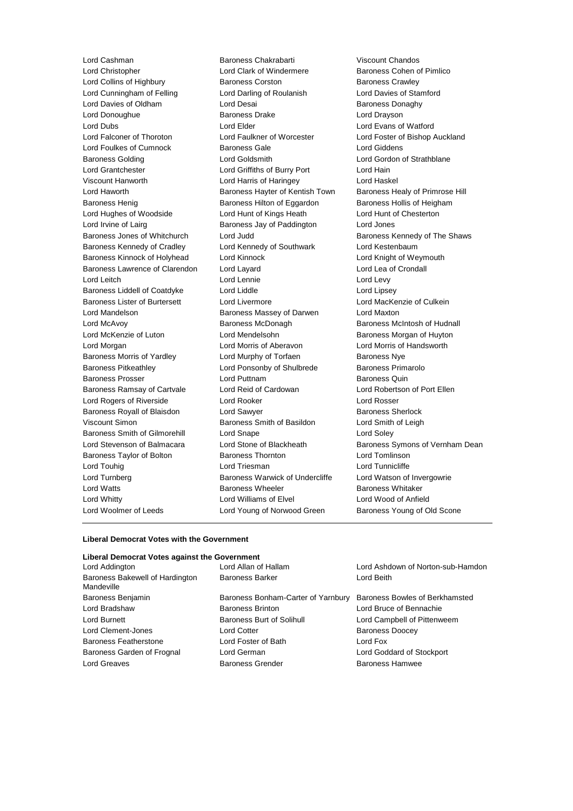Lord Christopher Lord Clark of Windermere Baroness Cohen of Pimlico Lord Collins of Highbury **Baroness Corston** Baroness Crawley Lord Cunningham of Felling Lord Darling of Roulanish Lord Davies of Stamford Lord Davies of Oldham **Lord Desai** Baroness Donaghy Lord Donoughue **Baroness Drake** Lord Drayson Lord Dubs Lord Elder Lord Evans of Watford Lord Falconer of Thoroton Lord Faulkner of Worcester Lord Foster of Bishop Auckland Lord Foulkes of Cumnock Baroness Gale Cumnoch Baroness Gale Cumnock Baroness Gale Lord Giddens Baroness Golding Lord Goldsmith Lord Gordon of Strathblane Lord Grantchester Lord Griffiths of Burry Port Lord Hain Viscount Hanworth Lord Harris of Haringey Lord Haskel Lord Haworth **Baroness Hayter of Kentish Town** Baroness Healy of Primrose Hill Baroness Henig Baroness Hilton of Eggardon Baroness Hollis of Heigham Lord Hughes of Woodside Lord Hunt of Kings Heath Lord Hunt of Chesterton Lord Irvine of Lairg Baroness Jay of Paddington Lord Jones Baroness Jones of Whitchurch Lord Judd Baroness Kennedy of The Shaws Baroness Kennedy of Cradley **Lord Kennedy of Southwark** Lord Kestenbaum Baroness Kinnock of Holyhead Lord Kinnock Lord Knight of Weymouth Baroness Lawrence of Clarendon Lord Layard Lord Lea of Crondall Lord Leitch **Lord Lennie** Lord Lennie **Lord Levy** Baroness Liddell of Coatdyke Lord Liddle Lord Lipsey Baroness Lister of Burtersett Lord Livermore Lord MacKenzie of Culkein Lord Mandelson Baroness Massey of Darwen Lord Maxton Lord McAvoy **Baroness McDonagh** Baroness McDonagh Baroness McIntosh of Hudnall Lord McKenzie of Luton **Lord Mendelsohn** Baroness Morgan of Huyton Lord Morgan Lord Morris of Aberavon Lord Morris of Handsworth Baroness Morris of Yardley **Lord Murphy of Torfaen** Baroness Nye Baroness Pitkeathley Lord Ponsonby of Shulbrede Baroness Primarolo Baroness Prosser **Example 2** Lord Puttnam **Baroness Quin** Baroness Quin Baroness Ramsay of Cartvale Lord Reid of Cardowan Lord Robertson of Port Ellen Lord Rogers of Riverside Lord Rooker Lord Rosser Baroness Royall of Blaisdon Lord Sawyer **Baroness Sherlock** Baroness Sherlock Viscount Simon Baroness Smith of Basildon Lord Smith of Leigh Baroness Smith of Gilmorehill Lord Snape Lord Soley Baroness Taylor of Bolton **Baroness Thornton Baroness Thornton** Lord Tomlinson Lord Touhig **Lord Triesman** Lord Triesman **Lord Tunnicliffe** Lord Turnberg **Baroness Warwick of Undercliffe** Lord Watson of Invergowrie Lord Watts **Baroness Wheeler** Baroness Wheeler **Baroness Whitaker** Lord Whitty Lord Williams of Elvel Lord Wood of Anfield Lord Woolmer of Leeds Lord Young of Norwood Green Baroness Young of Old Scone

Lord Cashman Baroness Chakrabarti Viscount Chandos

Lord Stevenson of Balmacara Lord Stone of Blackheath Baroness Symons of Vernham Dean

#### **Liberal Democrat Votes with the Government**

# **Liberal Democrat Votes against the Government**

| Lord Addington                                | Lord Allan of Hallam               | Lord Ashdown of Norton-sub-Hamdon |
|-----------------------------------------------|------------------------------------|-----------------------------------|
| Baroness Bakewell of Hardington<br>Mandeville | <b>Baroness Barker</b>             | Lord Beith                        |
| Baroness Benjamin                             | Baroness Bonham-Carter of Yarnbury | Baroness Bowles of Berkhamsted    |
| Lord Bradshaw                                 | <b>Baroness Brinton</b>            | Lord Bruce of Bennachie           |
| Lord Burnett                                  | <b>Baroness Burt of Solihull</b>   | Lord Campbell of Pittenweem       |
| Lord Clement-Jones                            | Lord Cotter                        | <b>Baroness Doocey</b>            |
| <b>Baroness Featherstone</b>                  | Lord Foster of Bath                | Lord Fox                          |
| Baroness Garden of Frognal                    | Lord German                        | Lord Goddard of Stockport         |
| Lord Greaves                                  | <b>Baroness Grender</b>            | <b>Baroness Hamwee</b>            |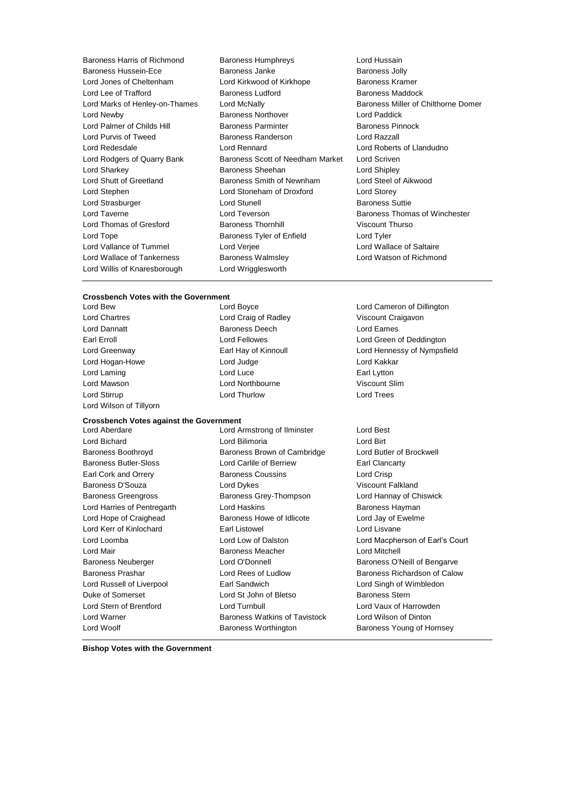- Lord Willis of Knaresborough Lord Wrigglesworth
- Baroness Harris of Richmond Baroness Humphreys Lord Hussain Baroness Hussein-Ece **Baroness** Janke Baroness Janke Baroness Jolly Lord Jones of Cheltenham Lord Kirkwood of Kirkhope Baroness Kramer Lord Lee of Trafford **Baroness Ludford** Baroness Ludford **Baroness Maddock** Lord Marks of Henley-on-Thames Lord McNally **Baroness Miller of Chilthorne Domer** Lord Newby Baroness Northover Lord Paddick Lord Palmer of Childs Hill Baroness Parminter Baroness Pinnock Lord Purvis of Tweed Baroness Randerson Lord Razzall Lord Redesdale Lord Rennard Lord Roberts of Llandudno Lord Rodgers of Quarry Bank Baroness Scott of Needham Market Lord Scriven Lord Sharkey **Baroness Sheehan** Lord Shipley **Constants In the Shipley** Lord Shutt of Greetland Baroness Smith of Newnham Lord Steel of Aikwood Lord Stephen Lord Stoneham of Droxford Lord Storey Lord Strasburger Lord Stunell Baroness Suttie Lord Taverne **Lord Teverson** Baroness Thomas of Winchester Lord Thomas of Gresford **Baroness Thornhill Baroness Thornhill** Viscount Thurso Lord Tope **Baroness Tyler of Enfield** Lord Tyler Lord Vallance of Tummel **Lord Verjee** Lord Verjee Lord Wallace of Saltaire Lord Wallace of Tankerness Baroness Walmsley Lord Watson of Richmond
	-

#### **Crossbench Votes with the Government**

Lord Wilson of Tillyorn

Lord Chartres Lord Craig of Radley Viscount Craigavon Lord Dannatt Baroness Deech Lord Eames Lord Hogan-Howe **Lord Judge** Lord Judge **Lord Kakkar** Lord Laming **Lord Luce Lord Luce Earl Lytton** 

**Crossbench Votes against the Government**

Lord Bichard Lord Bilimoria Lord Birt Baroness Boothroyd Baroness Brown of Cambridge Lord Butler of Brockwell Baroness Butler-Sloss Lord Carlile of Berriew Earl Clancarty Earl Cork and Orrery Baroness Coussins Lord Crisp Baroness D'Souza **Lord Dykes** Lord Dykes Viscount Falkland Baroness Greengross **Baroness Grey-Thompson** Lord Hannay of Chiswick Lord Harries of Pentregarth Lord Haskins **Baroness Hayman** Lord Hope of Craighead Baroness Howe of Idlicote Lord Jay of Ewelme Lord Kerr of Kinlochard Earl Listowel Lord Lisvane Lord Loomba Lord Low of Dalston Lord Macpherson of Earl's Court Lord Mair Baroness Meacher Lord Mitchell Baroness Neuberger Lord O'Donnell Baroness O'Neill of Bengarve Baroness Prashar Lord Rees of Ludlow Baroness Richardson of Calow Lord Russell of Liverpool Earl Sandwich Lord Singh of Wimbledon Duke of Somerset **Lord St John of Bletso** Baroness Stern Lord Stern of Brentford Lord Turnbull Lord Vaux of Harrowden Lord Warner Baroness Watkins of Tavistock Lord Wilson of Dinton Lord Woolf Baroness Worthington Baroness Young of Hornsey

Lord Mawson Lord Northbourne Viscount Slim Lord Stirrup **Lord Thurlow** Lord Thurlow **Lord Trees** Lord Aberdare Lord Armstrong of Ilminster Lord Best

Lord Bew Lord Boyce Lord Cameron of Dillington Earl Erroll Lord Fellowes Lord Green of Deddington Lord Greenway Earl Hay of Kinnoull Lord Hennessy of Nympsfield

**Bishop Votes with the Government**